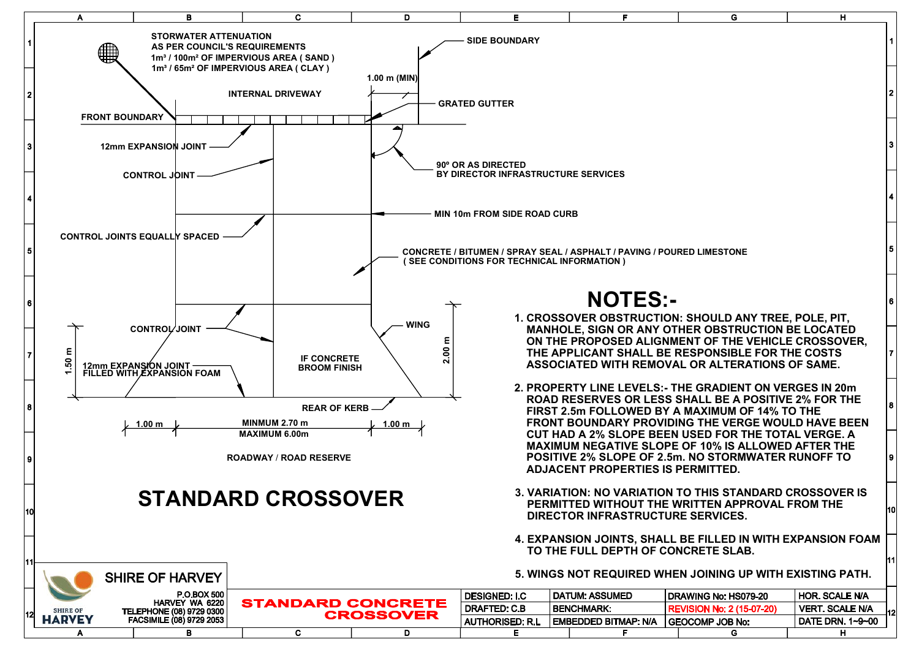